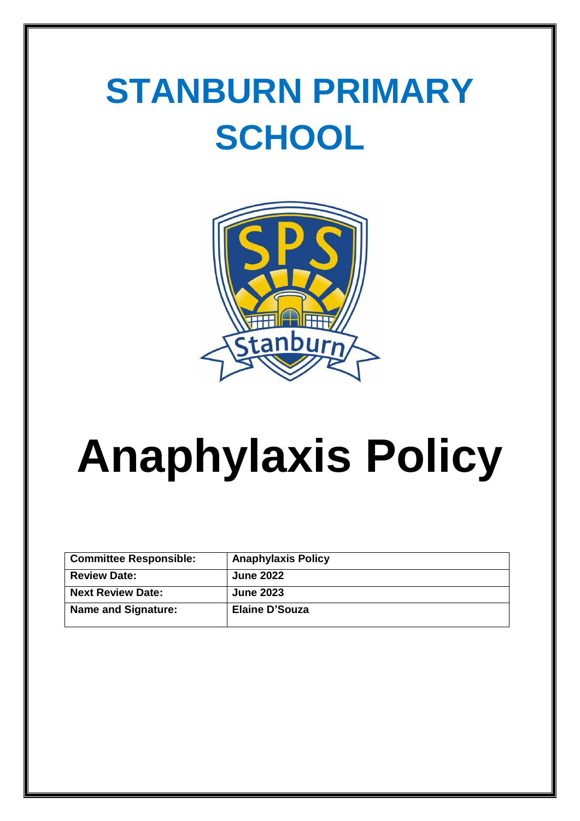## **STANBURN PRIMARY SCHOOL**



# **Anaphylaxis Policy**

| <b>Committee Responsible:</b> | <b>Anaphylaxis Policy</b> |
|-------------------------------|---------------------------|
| <b>Review Date:</b>           | <b>June 2022</b>          |
| <b>Next Review Date:</b>      | <b>June 2023</b>          |
| <b>Name and Signature:</b>    | Elaine D'Souza            |